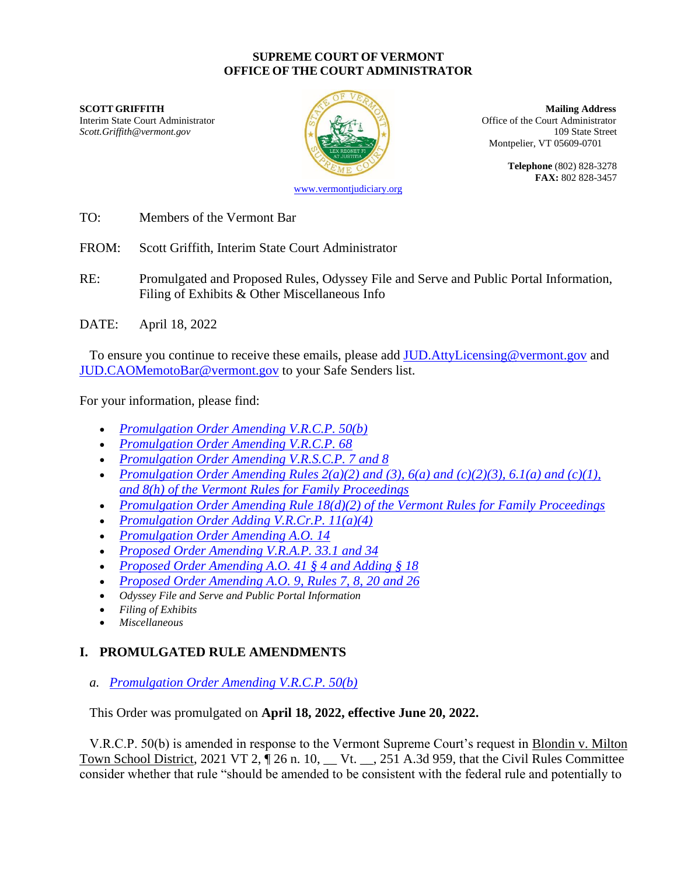#### **SUPREME COURT OF VERMONT OFFICE OF THE COURT ADMINISTRATOR**

**SCOTT GRIFFITH Mailing Address** Interim State Court Administrator **Interior Court Administrator** Office of the Court Administrator *Scott.Griffith@vermont.gov* 109 State Street



Montpelier, VT 05609-0701

**Telephone** (802) 828-3278 **FAX:** 802 828-3457

[www.vermontjudiciary.org](http://www.vermontjudiciary.org/)

TO: Members of the Vermont Bar

FROM: Scott Griffith, Interim State Court Administrator

RE: Promulgated and Proposed Rules, Odyssey File and Serve and Public Portal Information, Filing of Exhibits & Other Miscellaneous Info

DATE: April 18, 2022

To ensure you continue to receive these emails, please add [JUD.AttyLicensing@vermont.gov](mailto:JUD.AttyLicensing@vermont.gov) and [JUD.CAOMemotoBar@vermont.gov](mailto:JUD.CAOMemotoBar@vermont.gov) to your Safe Senders list.

For your information, please find:

- *[Promulgation Order Amending V.R.C.P. 50\(b\)](https://www.vermontjudiciary.org/sites/default/files/documents/PROMULGATEDVRCP50%28b%29--STAMPED.pdf)*
- *[Promulgation Order Amending V.R.C.P. 68](https://www.vermontjudiciary.org/sites/default/files/documents/PROMULGATEDVRCP68--STAMPED.pdf)*
- *[Promulgation Order Amending V.R.S.C.P. 7 and 8](https://www.vermontjudiciary.org/sites/default/files/documents/PROMULGATEDVRSCP7_8--STAMPED.pdf)*
- *[Promulgation Order Amending Rules 2\(a\)\(2\) and \(3\), 6\(a\) and \(c\)\(2\)\(3\), 6.1\(a\) and \(c\)\(1\),](https://www.vermontjudiciary.org/sites/default/files/documents/PROMULGATEDVRFP2%28a%29%282%29%283%29_6%28a%29%28c%29%282%29%283%29_6.1%28a%29%28c%29%281%29_8%28h%29--STAMPED.pdf)  [and 8\(h\) of the Vermont Rules for Family Proceedings](https://www.vermontjudiciary.org/sites/default/files/documents/PROMULGATEDVRFP2%28a%29%282%29%283%29_6%28a%29%28c%29%282%29%283%29_6.1%28a%29%28c%29%281%29_8%28h%29--STAMPED.pdf)*
- *[Promulgation Order Amending Rule 18\(d\)\(2\) of the Vermont Rules for Family Proceedings](https://www.vermontjudiciary.org/sites/default/files/documents/PROMULGATEDVRFP18%28d%29%282%29--STAMPED.pdf)*
- *[Promulgation Order Adding V.R.Cr.P. 11\(a\)\(4\)](https://www.vermontjudiciary.org/sites/default/files/documents/PROMULGATEDVRCrP11%28a%29%284%29--STAMPED.pdf)*
- *[Promulgation Order Amending A.O. 14](https://www.vermontjudiciary.org/sites/default/files/documents/PROMULGATEDAmendmentAO14--STAMPED.pdf)*
- *[Proposed Order Amending V.R.A.P. 33.1 and 34](https://www.vermontjudiciary.org/sites/default/files/documents/PROPOSEDVRAP33.1_34--FOR%20COMMENT.pdf)*
- *[Proposed Order Amending A.O. 41 § 4 and Adding § 18](https://www.vermontjudiciary.org/sites/default/files/documents/PROPOSED%20A.O.%2041%20Amending%20%C2%A74%28a%29%20and%20Adding%20%C2%A718--FOR%20COMMENT.pdf)*
- *[Proposed Order Amending A.O. 9, Rules 7, 8, 20 and 26](https://www.vermontjudiciary.org/sites/default/files/documents/PROPOSED%20AO9%20Rules%207%208%2020%20and%2026--FOR%20COMMENT.pdf)*
- *Odyssey File and Serve and Public Portal Information*
- *Filing of Exhibits*
- *Miscellaneous*

# **I. PROMULGATED RULE AMENDMENTS**

*a. [Promulgation Order Amending V.R.C.P. 50\(b\)](https://www.vermontjudiciary.org/sites/default/files/documents/PROMULGATEDVRCP50%28b%29--STAMPED.pdf)*

### This Order was promulgated on **April 18, 2022, effective June 20, 2022.**

V.R.C.P. 50(b) is amended in response to the Vermont Supreme Court's request in Blondin v. Milton Town School District, 2021 VT 2, 126 n. 10, \_\_ Vt. \_\_, 251 A.3d 959, that the Civil Rules Committee consider whether that rule "should be amended to be consistent with the federal rule and potentially to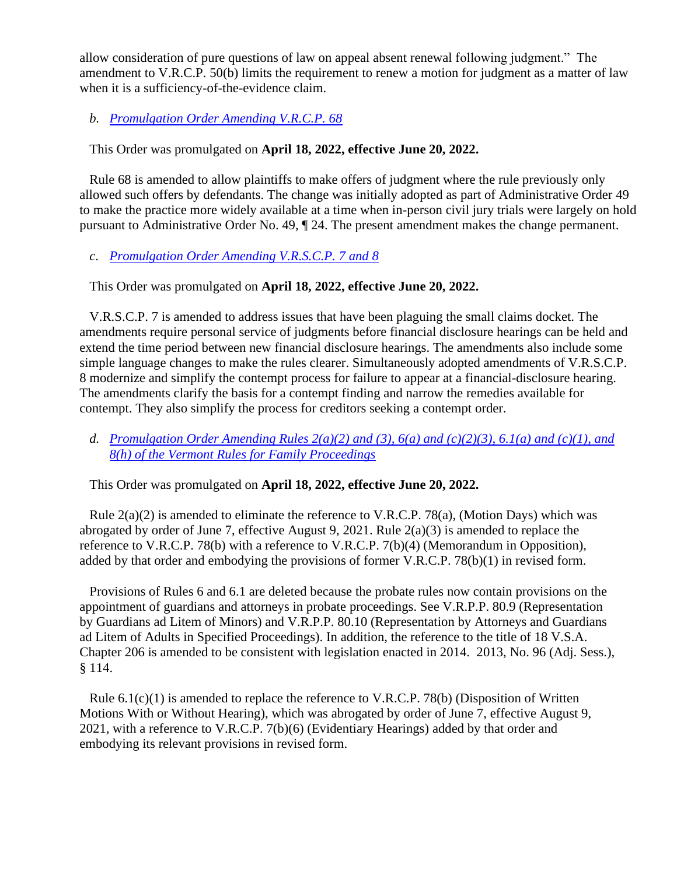allow consideration of pure questions of law on appeal absent renewal following judgment." The amendment to V.R.C.P. 50(b) limits the requirement to renew a motion for judgment as a matter of law when it is a sufficiency-of-the-evidence claim.

*b. [Promulgation Order Amending V.R.C.P. 68](https://www.vermontjudiciary.org/sites/default/files/documents/PROMULGATEDVRCP68--STAMPED.pdf)*

This Order was promulgated on **April 18, 2022, effective June 20, 2022.**

Rule 68 is amended to allow plaintiffs to make offers of judgment where the rule previously only allowed such offers by defendants. The change was initially adopted as part of Administrative Order 49 to make the practice more widely available at a time when in-person civil jury trials were largely on hold pursuant to Administrative Order No. 49, ¶ 24. The present amendment makes the change permanent.

### *c*. *[Promulgation Order Amending V.R.S.C.P. 7 and 8](https://www.vermontjudiciary.org/sites/default/files/documents/PROMULGATEDVRSCP7_8--STAMPED.pdf)*

This Order was promulgated on **April 18, 2022, effective June 20, 2022.**

V.R.S.C.P. 7 is amended to address issues that have been plaguing the small claims docket. The amendments require personal service of judgments before financial disclosure hearings can be held and extend the time period between new financial disclosure hearings. The amendments also include some simple language changes to make the rules clearer. Simultaneously adopted amendments of V.R.S.C.P. 8 modernize and simplify the contempt process for failure to appear at a financial-disclosure hearing. The amendments clarify the basis for a contempt finding and narrow the remedies available for contempt. They also simplify the process for creditors seeking a contempt order.

### *d. [Promulgation Order Amending Rules 2\(a\)\(2\) and \(3\), 6\(a\) and \(c\)\(2\)\(3\), 6.1\(a\)](https://www.vermontjudiciary.org/sites/default/files/documents/PROMULGATEDVRFP2%28a%29%282%29%283%29_6%28a%29%28c%29%282%29%283%29_6.1%28a%29%28c%29%281%29_8%28h%29--STAMPED.pdf) and (c)(1), and [8\(h\) of the Vermont Rules for Family Proceedings](https://www.vermontjudiciary.org/sites/default/files/documents/PROMULGATEDVRFP2%28a%29%282%29%283%29_6%28a%29%28c%29%282%29%283%29_6.1%28a%29%28c%29%281%29_8%28h%29--STAMPED.pdf)*

This Order was promulgated on **April 18, 2022, effective June 20, 2022.**

Rule  $2(a)(2)$  is amended to eliminate the reference to V.R.C.P. 78(a), (Motion Days) which was abrogated by order of June 7, effective August 9, 2021. Rule 2(a)(3) is amended to replace the reference to V.R.C.P. 78(b) with a reference to V.R.C.P. 7(b)(4) (Memorandum in Opposition), added by that order and embodying the provisions of former V.R.C.P. 78(b)(1) in revised form.

Provisions of Rules 6 and 6.1 are deleted because the probate rules now contain provisions on the appointment of guardians and attorneys in probate proceedings. See V.R.P.P. 80.9 (Representation by Guardians ad Litem of Minors) and V.R.P.P. 80.10 (Representation by Attorneys and Guardians ad Litem of Adults in Specified Proceedings). In addition, the reference to the title of 18 V.S.A. Chapter 206 is amended to be consistent with legislation enacted in 2014. 2013, No. 96 (Adj. Sess.), § 114.

Rule  $6.1(c)(1)$  is amended to replace the reference to V.R.C.P. 78(b) (Disposition of Written Motions With or Without Hearing), which was abrogated by order of June 7, effective August 9, 2021, with a reference to V.R.C.P. 7(b)(6) (Evidentiary Hearings) added by that order and embodying its relevant provisions in revised form.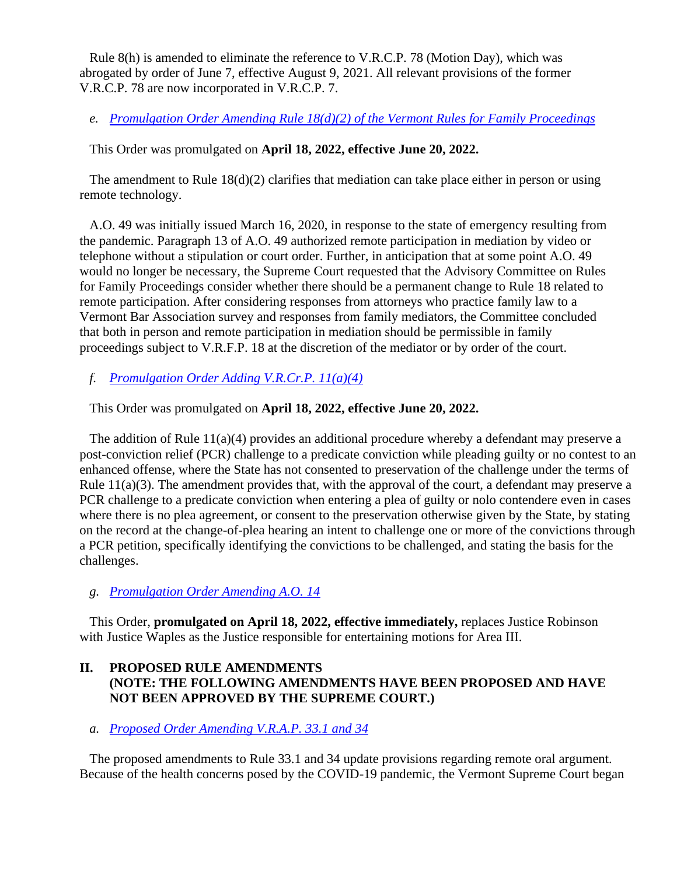Rule 8(h) is amended to eliminate the reference to V.R.C.P. 78 (Motion Day), which was abrogated by order of June 7, effective August 9, 2021. All relevant provisions of the former V.R.C.P. 78 are now incorporated in V.R.C.P. 7.

*e. [Promulgation Order Amending Rule 18\(d\)\(2\) of the Vermont Rules for Family Proceedings](https://www.vermontjudiciary.org/sites/default/files/documents/PROMULGATEDVRFP18%28d%29%282%29--STAMPED.pdf)*

This Order was promulgated on **April 18, 2022, effective June 20, 2022.**

The amendment to Rule  $18(d)(2)$  clarifies that mediation can take place either in person or using remote technology.

A.O. 49 was initially issued March 16, 2020, in response to the state of emergency resulting from the pandemic. Paragraph 13 of A.O. 49 authorized remote participation in mediation by video or telephone without a stipulation or court order. Further, in anticipation that at some point A.O. 49 would no longer be necessary, the Supreme Court requested that the Advisory Committee on Rules for Family Proceedings consider whether there should be a permanent change to Rule 18 related to remote participation. After considering responses from attorneys who practice family law to a Vermont Bar Association survey and responses from family mediators, the Committee concluded that both in person and remote participation in mediation should be permissible in family proceedings subject to V.R.F.P. 18 at the discretion of the mediator or by order of the court.

*f. [Promulgation Order Adding V.R.Cr.P. 11\(a\)\(4\)](https://www.vermontjudiciary.org/sites/default/files/documents/PROMULGATEDVRCrP11%28a%29%284%29--STAMPED.pdf)*

This Order was promulgated on **April 18, 2022, effective June 20, 2022.**

The addition of Rule 11(a)(4) provides an additional procedure whereby a defendant may preserve a post-conviction relief (PCR) challenge to a predicate conviction while pleading guilty or no contest to an enhanced offense, where the State has not consented to preservation of the challenge under the terms of Rule  $11(a)(3)$ . The amendment provides that, with the approval of the court, a defendant may preserve a PCR challenge to a predicate conviction when entering a plea of guilty or nolo contendere even in cases where there is no plea agreement, or consent to the preservation otherwise given by the State, by stating on the record at the change-of-plea hearing an intent to challenge one or more of the convictions through a PCR petition, specifically identifying the convictions to be challenged, and stating the basis for the challenges.

### *g. [Promulgation Order Amending A.O. 14](https://www.vermontjudiciary.org/sites/default/files/documents/PROMULGATEDAmendmentAO14--STAMPED.pdf)*

This Order, **promulgated on April 18, 2022, effective immediately,** replaces Justice Robinson with Justice Waples as the Justice responsible for entertaining motions for Area III.

# **II. PROPOSED RULE AMENDMENTS (NOTE: THE FOLLOWING AMENDMENTS HAVE BEEN PROPOSED AND HAVE NOT BEEN APPROVED BY THE SUPREME COURT.)**

### *a. [Proposed Order Amending V.R.A.P. 33.1 and 34](https://www.vermontjudiciary.org/sites/default/files/documents/PROPOSEDVRAP33.1_34--FOR%20COMMENT.pdf)*

The proposed amendments to Rule 33.1 and 34 update provisions regarding remote oral argument. Because of the health concerns posed by the COVID-19 pandemic, the Vermont Supreme Court began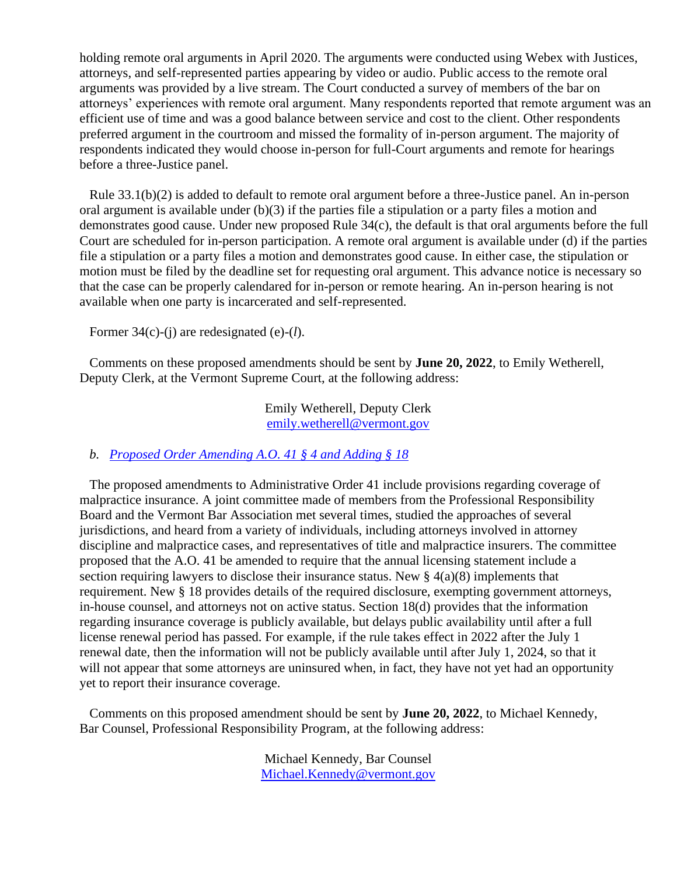holding remote oral arguments in April 2020. The arguments were conducted using Webex with Justices, attorneys, and self-represented parties appearing by video or audio. Public access to the remote oral arguments was provided by a live stream. The Court conducted a survey of members of the bar on attorneys' experiences with remote oral argument. Many respondents reported that remote argument was an efficient use of time and was a good balance between service and cost to the client. Other respondents preferred argument in the courtroom and missed the formality of in-person argument. The majority of respondents indicated they would choose in-person for full-Court arguments and remote for hearings before a three-Justice panel.

Rule 33.1(b)(2) is added to default to remote oral argument before a three-Justice panel. An in-person oral argument is available under (b)(3) if the parties file a stipulation or a party files a motion and demonstrates good cause. Under new proposed Rule 34(c), the default is that oral arguments before the full Court are scheduled for in-person participation. A remote oral argument is available under (d) if the parties file a stipulation or a party files a motion and demonstrates good cause. In either case, the stipulation or motion must be filed by the deadline set for requesting oral argument. This advance notice is necessary so that the case can be properly calendared for in-person or remote hearing. An in-person hearing is not available when one party is incarcerated and self-represented.

Former 34(c)-(j) are redesignated (e)-(*l*).

Comments on these proposed amendments should be sent by **June 20, 2022**, to Emily Wetherell, Deputy Clerk, at the Vermont Supreme Court, at the following address:

> Emily Wetherell, Deputy Clerk [emily.wetherell@vermont.gov](mailto:emily.wetherell@vermont.gov)

#### *b. [Proposed Order Amending A.O. 41 § 4 and Adding § 18](https://www.vermontjudiciary.org/sites/default/files/documents/PROPOSED%20A.O.%2041%20Amending%20%C2%A74%28a%29%20and%20Adding%20%C2%A718--FOR%20COMMENT.pdf)*

The proposed amendments to Administrative Order 41 include provisions regarding coverage of malpractice insurance. A joint committee made of members from the Professional Responsibility Board and the Vermont Bar Association met several times, studied the approaches of several jurisdictions, and heard from a variety of individuals, including attorneys involved in attorney discipline and malpractice cases, and representatives of title and malpractice insurers. The committee proposed that the A.O. 41 be amended to require that the annual licensing statement include a section requiring lawyers to disclose their insurance status. New  $\S$  4(a)(8) implements that requirement. New § 18 provides details of the required disclosure, exempting government attorneys, in-house counsel, and attorneys not on active status. Section 18(d) provides that the information regarding insurance coverage is publicly available, but delays public availability until after a full license renewal period has passed. For example, if the rule takes effect in 2022 after the July 1 renewal date, then the information will not be publicly available until after July 1, 2024, so that it will not appear that some attorneys are uninsured when, in fact, they have not yet had an opportunity yet to report their insurance coverage.

Comments on this proposed amendment should be sent by **June 20, 2022**, to Michael Kennedy, Bar Counsel, Professional Responsibility Program, at the following address:

> Michael Kennedy, Bar Counsel [Michael.Kennedy@vermont.gov](mailto:Michael.Kennedy@vermont.gov)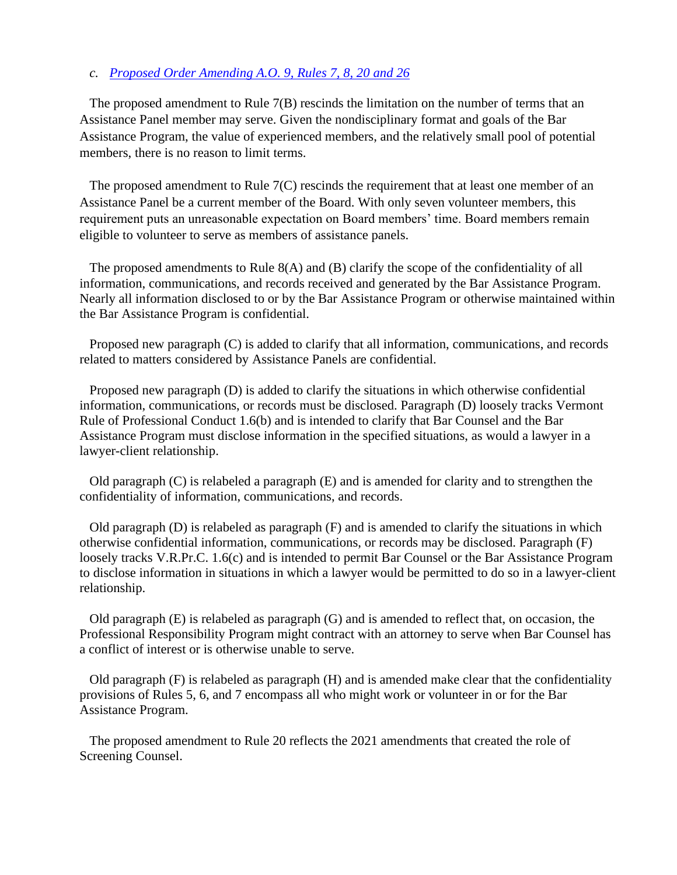#### *c. [Proposed Order Amending A.O. 9, Rules 7, 8, 20 and 26](https://www.vermontjudiciary.org/sites/default/files/documents/PROPOSED%20AO9%20Rules%207%208%2020%20and%2026--FOR%20COMMENT.pdf)*

The proposed amendment to Rule 7(B) rescinds the limitation on the number of terms that an Assistance Panel member may serve. Given the nondisciplinary format and goals of the Bar Assistance Program, the value of experienced members, and the relatively small pool of potential members, there is no reason to limit terms.

The proposed amendment to Rule 7(C) rescinds the requirement that at least one member of an Assistance Panel be a current member of the Board. With only seven volunteer members, this requirement puts an unreasonable expectation on Board members' time. Board members remain eligible to volunteer to serve as members of assistance panels.

The proposed amendments to Rule 8(A) and (B) clarify the scope of the confidentiality of all information, communications, and records received and generated by the Bar Assistance Program. Nearly all information disclosed to or by the Bar Assistance Program or otherwise maintained within the Bar Assistance Program is confidential.

Proposed new paragraph (C) is added to clarify that all information, communications, and records related to matters considered by Assistance Panels are confidential.

Proposed new paragraph (D) is added to clarify the situations in which otherwise confidential information, communications, or records must be disclosed. Paragraph (D) loosely tracks Vermont Rule of Professional Conduct 1.6(b) and is intended to clarify that Bar Counsel and the Bar Assistance Program must disclose information in the specified situations, as would a lawyer in a lawyer-client relationship.

Old paragraph (C) is relabeled a paragraph (E) and is amended for clarity and to strengthen the confidentiality of information, communications, and records.

Old paragraph  $(D)$  is relabeled as paragraph  $(F)$  and is amended to clarify the situations in which otherwise confidential information, communications, or records may be disclosed. Paragraph (F) loosely tracks V.R.Pr.C. 1.6(c) and is intended to permit Bar Counsel or the Bar Assistance Program to disclose information in situations in which a lawyer would be permitted to do so in a lawyer-client relationship.

Old paragraph (E) is relabeled as paragraph (G) and is amended to reflect that, on occasion, the Professional Responsibility Program might contract with an attorney to serve when Bar Counsel has a conflict of interest or is otherwise unable to serve.

Old paragraph (F) is relabeled as paragraph (H) and is amended make clear that the confidentiality provisions of Rules 5, 6, and 7 encompass all who might work or volunteer in or for the Bar Assistance Program.

The proposed amendment to Rule 20 reflects the 2021 amendments that created the role of Screening Counsel.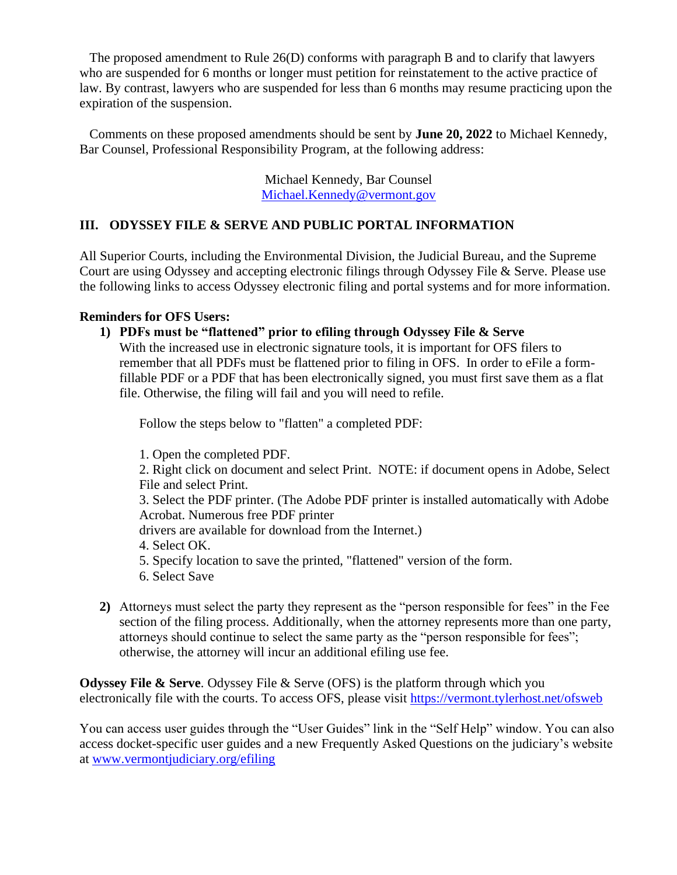The proposed amendment to Rule 26(D) conforms with paragraph B and to clarify that lawyers who are suspended for 6 months or longer must petition for reinstatement to the active practice of law. By contrast, lawyers who are suspended for less than 6 months may resume practicing upon the expiration of the suspension.

Comments on these proposed amendments should be sent by **June 20, 2022** to Michael Kennedy, Bar Counsel, Professional Responsibility Program, at the following address:

> Michael Kennedy, Bar Counsel [Michael.Kennedy@vermont.gov](mailto:Michael.Kennedy@vermont.gov)

# **III. ODYSSEY FILE & SERVE AND PUBLIC PORTAL INFORMATION**

All Superior Courts, including the Environmental Division, the Judicial Bureau, and the Supreme Court are using Odyssey and accepting electronic filings through Odyssey File & Serve. Please use the following links to access Odyssey electronic filing and portal systems and for more information.

### **Reminders for OFS Users:**

**1) PDFs must be "flattened" prior to efiling through Odyssey File & Serve**

With the increased use in electronic signature tools, it is important for OFS filers to remember that all PDFs must be flattened prior to filing in OFS. In order to eFile a formfillable PDF or a PDF that has been electronically signed, you must first save them as a flat file. Otherwise, the filing will fail and you will need to refile.

Follow the steps below to "flatten" a completed PDF:

1. Open the completed PDF.

2. Right click on document and select Print. NOTE: if document opens in Adobe, Select File and select Print.

3. Select the PDF printer. (The Adobe PDF printer is installed automatically with Adobe Acrobat. Numerous free PDF printer

drivers are available for download from the Internet.)

4. Select OK.

- 5. Specify location to save the printed, "flattened" version of the form.
- 6. Select Save
- **2)** Attorneys must select the party they represent as the "person responsible for fees" in the Fee section of the filing process. Additionally, when the attorney represents more than one party, attorneys should continue to select the same party as the "person responsible for fees"; otherwise, the attorney will incur an additional efiling use fee.

**Odyssey File & Serve.** Odyssey File & Serve (OFS) is the platform through which you electronically file with the courts. To access OFS, please visit<https://vermont.tylerhost.net/ofsweb>

You can access user guides through the "User Guides" link in the "Self Help" window. You can also access docket-specific user guides and a new Frequently Asked Questions on the judiciary's website at [www.vermontjudiciary.org/efiling](https://www.vermontjudiciary.org/about-vermont-judiciary/electronic-access/electronic-filing)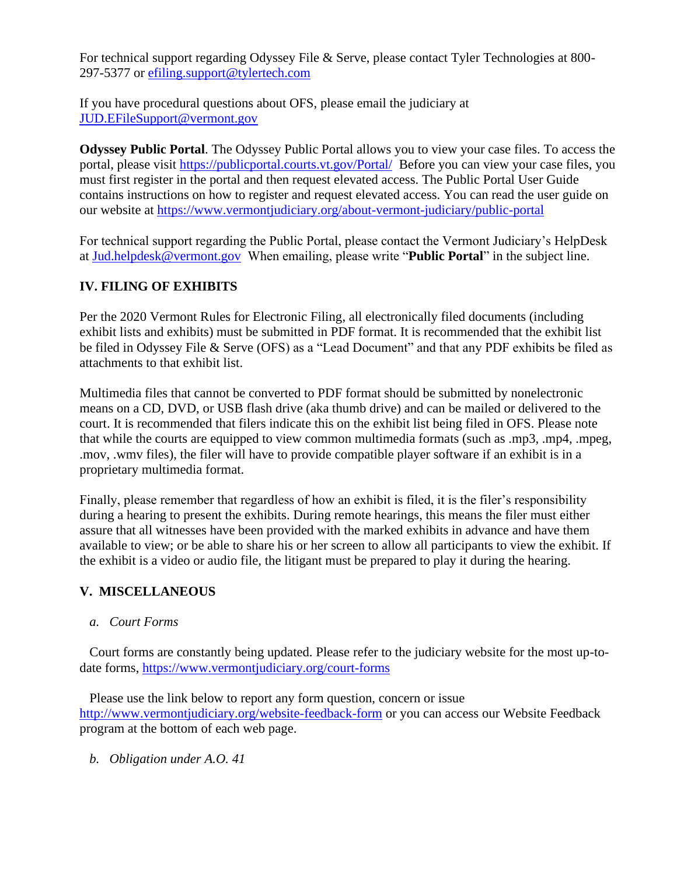For technical support regarding Odyssey File & Serve, please contact Tyler Technologies at 800- 297-5377 or [efiling.support@tylertech.com](mailto:efiling.support@tylertech.com)

If you have procedural questions about OFS, please email the judiciary at [JUD.EFileSupport@vermont.gov](mailto:JUD.EFileSupport@vermont.gov)

**Odyssey Public Portal**. The Odyssey Public Portal allows you to view your case files. To access the portal, please visit<https://publicportal.courts.vt.gov/Portal/> Before you can view your case files, you must first register in the portal and then request elevated access. The Public Portal User Guide contains instructions on how to register and request elevated access. You can read the user guide on our website at<https://www.vermontjudiciary.org/about-vermont-judiciary/public-portal>

For technical support regarding the Public Portal, please contact the Vermont Judiciary's HelpDesk at [Jud.helpdesk@vermont.gov](mailto:Jud.helpdesk@vermont.gov) When emailing, please write "**Public Portal**" in the subject line.

# **IV. FILING OF EXHIBITS**

Per the 2020 Vermont Rules for Electronic Filing, all electronically filed documents (including exhibit lists and exhibits) must be submitted in PDF format. It is recommended that the exhibit list be filed in Odyssey File & Serve (OFS) as a "Lead Document" and that any PDF exhibits be filed as attachments to that exhibit list.

Multimedia files that cannot be converted to PDF format should be submitted by nonelectronic means on a CD, DVD, or USB flash drive (aka thumb drive) and can be mailed or delivered to the court. It is recommended that filers indicate this on the exhibit list being filed in OFS. Please note that while the courts are equipped to view common multimedia formats (such as .mp3, .mp4, .mpeg, .mov, .wmv files), the filer will have to provide compatible player software if an exhibit is in a proprietary multimedia format.

Finally, please remember that regardless of how an exhibit is filed, it is the filer's responsibility during a hearing to present the exhibits. During remote hearings, this means the filer must either assure that all witnesses have been provided with the marked exhibits in advance and have them available to view; or be able to share his or her screen to allow all participants to view the exhibit. If the exhibit is a video or audio file, the litigant must be prepared to play it during the hearing.

# **V. MISCELLANEOUS**

*a. Court Forms*

Court forms are constantly being updated. Please refer to the judiciary website for the most up-todate forms,<https://www.vermontjudiciary.org/court-forms>

Please use the link below to report any form question, concern or issue <http://www.vermontjudiciary.org/website-feedback-form> or you can access our Website Feedback program at the bottom of each web page.

*b. Obligation under A.O. 41*